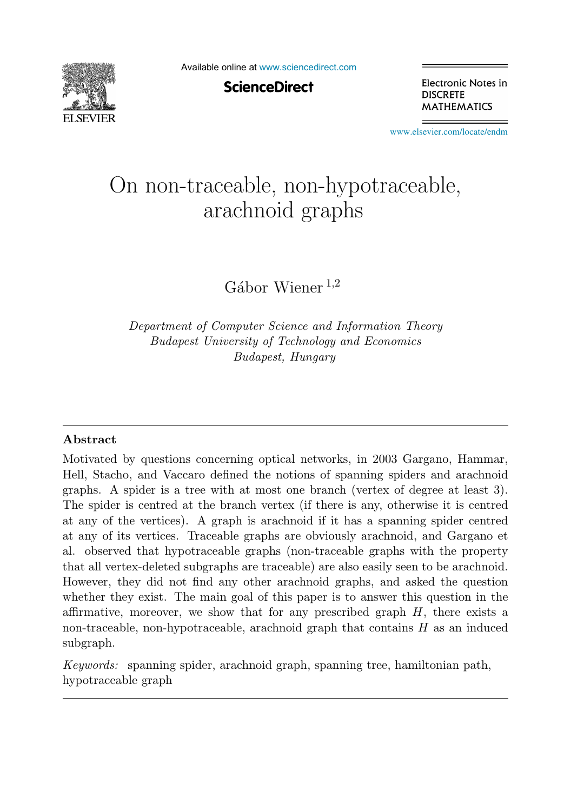

Available online at [www.sciencedirect.com](http://www.sciencedirect.com)

**ScienceDirect** 

Electronic Notes in **DISCRETE MATHEMATICS** 

[www.elsevier.com/locate/endm](http://www.elsevier.com/locate/endm)

# On non-traceable, non-hypotraceable, arachnoid graphs

 $Gábor Wiener <sup>1,2</sup>$ 

*Department of Computer Science and Information Theory Budapest University of Technology and Economics Budapest, Hungary*

#### **Abstract**

Motivated by questions concerning optical networks, in 2003 Gargano, Hammar, Hell, Stacho, and Vaccaro defined the notions of spanning spiders and arachnoid graphs. A spider is a tree with at most one branch (vertex of degree at least 3). The spider is centred at the branch vertex (if there is any, otherwise it is centred at any of the vertices). A graph is arachnoid if it has a spanning spider centred at any of its vertices. Traceable graphs are obviously arachnoid, and Gargano et al. observed that hypotraceable graphs (non-traceable graphs with the property that all vertex-deleted subgraphs are traceable) are also easily seen to be arachnoid. However, they did not find any other arachnoid graphs, and asked the question whether they exist. The main goal of this paper is to answer this question in the affirmative, moreover, we show that for any prescribed graph  $H$ , there exists a non-traceable, non-hypotraceable, arachnoid graph that contains  $H$  as an induced subgraph.

*Keywords:* spanning spider, arachnoid graph, spanning tree, hamiltonian path, hypotraceable graph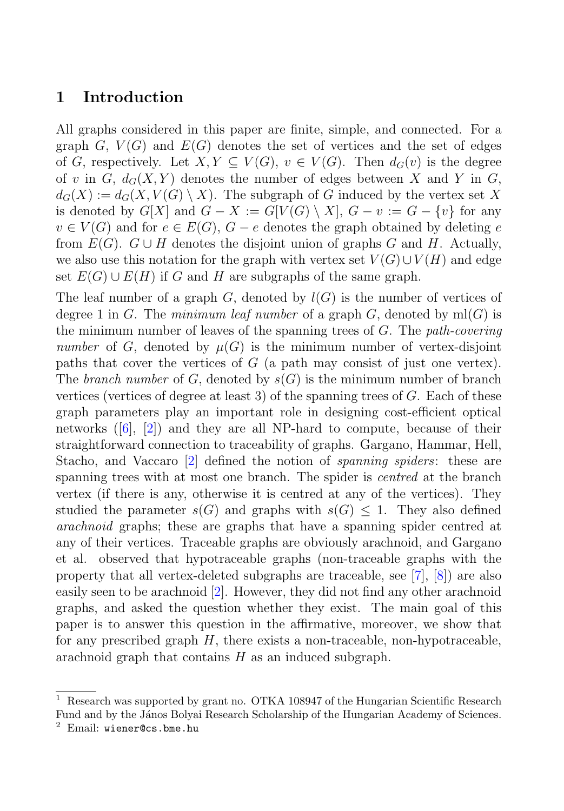## **1 Introduction**

All graphs considered in this paper are finite, simple, and connected. For a graph G,  $V(G)$  and  $E(G)$  denotes the set of vertices and the set of edges of G, respectively. Let  $X, Y \subseteq V(G)$ ,  $v \in V(G)$ . Then  $d_G(v)$  is the degree of v in G,  $d_G(X, Y)$  denotes the number of edges between X and Y in G,  $d_G(X) := d_G(X, V(G) \setminus X)$ . The subgraph of G induced by the vertex set X is denoted by  $G[X]$  and  $G - X := G[V(G) \setminus X], G - v := G - \{v\}$  for any  $v \in V(G)$  and for  $e \in E(G)$ ,  $G - e$  denotes the graph obtained by deleting e from  $E(G)$ .  $G \cup H$  denotes the disjoint union of graphs G and H. Actually, we also use this notation for the graph with vertex set  $V(G) \cup V(H)$  and edge set  $E(G) \cup E(H)$  if G and H are subgraphs of the same graph.

The leaf number of a graph  $G$ , denoted by  $l(G)$  is the number of vertices of degree 1 in G. The minimum leaf number of a graph G, denoted by  $m(G)$  is the minimum number of leaves of the spanning trees of  $G$ . The *path-covering* number of G, denoted by  $\mu(G)$  is the minimum number of vertex-disjoint paths that cover the vertices of  $G$  (a path may consist of just one vertex). The branch number of G, denoted by  $s(G)$  is the minimum number of branch vertices (vertices of degree at least 3) of the spanning trees of  $G$ . Each of these graph parameters play an important role in designing cost-efficient optical networks  $([6], [2])$  and they are all NP-hard to compute, because of their straightforward connection to traceability of graphs. Gargano, Hammar, Hell, Stacho, and Vaccaro [2] defined the notion of spanning spiders: these are spanning trees with at most one branch. The spider is *centred* at the branch vertex (if there is any, otherwise it is centred at any of the vertices). They studied the parameter  $s(G)$  and graphs with  $s(G) \leq 1$ . They also defined arachnoid graphs; these are graphs that have a spanning spider centred at any of their vertices. Traceable graphs are obviously arachnoid, and Gargano et al. observed that hypotraceable graphs (non-traceable graphs with the property that all vertex-deleted subgraphs are traceable, see [7], [8]) are also easily seen to be arachnoid [2]. However, they did not find any other arachnoid graphs, and asked the question whether they exist. The main goal of this paper is to answer this question in the affirmative, moreover, we show that for any prescribed graph  $H$ , there exists a non-traceable, non-hypotraceable, arachnoid graph that contains  $H$  as an induced subgraph.

<sup>1</sup> Research was supported by grant no. OTKA 108947 of the Hungarian Scientific Research Fund and by the János Bolyai Research Scholarship of the Hungarian Academy of Sciences.

<sup>2</sup> Email: wiener@cs.bme.hu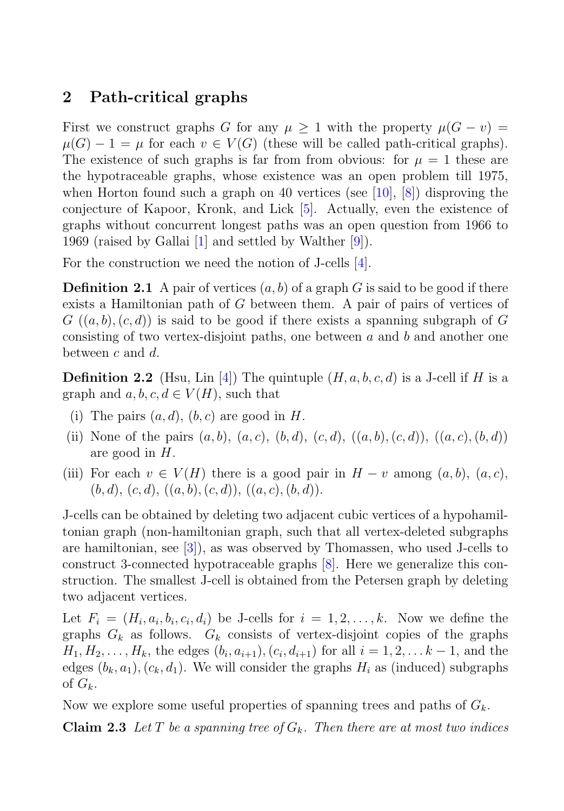## **2 Path-critical graphs**

First we construct graphs G for any  $\mu \geq 1$  with the property  $\mu(G - v)$  $\mu(G) - 1 = \mu$  for each  $v \in V(G)$  (these will be called path-critical graphs). The existence of such graphs is far from from obvious: for  $\mu = 1$  these are the hypotraceable graphs, whose existence was an open problem till 1975, when Horton found such a graph on 40 vertices (see [10], [8]) disproving the conjecture of Kapoor, Kronk, and Lick [5]. Actually, even the existence of graphs without concurrent longest paths was an open question from 1966 to 1969 (raised by Gallai  $|1|$  and settled by Walther  $|9|$ ).

For the construction we need the notion of J-cells [4].

**Definition 2.1** A pair of vertices  $(a, b)$  of a graph G is said to be good if there exists a Hamiltonian path of G between them. A pair of pairs of vertices of  $G((a, b), (c, d))$  is said to be good if there exists a spanning subgraph of G consisting of two vertex-disjoint paths, one between  $a$  and  $b$  and another one between  $c$  and  $d$ .

**Definition 2.2** (Hsu, Lin [4]) The quintuple  $(H, a, b, c, d)$  is a J-cell if H is a graph and  $a, b, c, d \in V(H)$ , such that

- (i) The pairs  $(a, d)$ ,  $(b, c)$  are good in H.
- (ii) None of the pairs  $(a, b), (a, c), (b, d), (c, d), (a, b), (c, d), (a, c), (b, d)$ are good in H.
- (iii) For each  $v \in V(H)$  there is a good pair in  $H v$  among  $(a, b)$ ,  $(a, c)$ ,  $(b, d), (c, d), ((a, b), (c, d)), ((a, c), (b, d)).$

J-cells can be obtained by deleting two adjacent cubic vertices of a hypohamiltonian graph (non-hamiltonian graph, such that all vertex-deleted subgraphs are hamiltonian, see [3]), as was observed by Thomassen, who used J-cells to construct 3-connected hypotraceable graphs [8]. Here we generalize this construction. The smallest J-cell is obtained from the Petersen graph by deleting two adjacent vertices.

Let  $F_i = (H_i, a_i, b_i, c_i, d_i)$  be J-cells for  $i = 1, 2, \ldots, k$ . Now we define the graphs  $G_k$  as follows.  $G_k$  consists of vertex-disjoint copies of the graphs  $H_1, H_2, \ldots, H_k$ , the edges  $(b_i, a_{i+1}), (c_i, d_{i+1})$  for all  $i = 1, 2, \ldots k-1$ , and the edges  $(b_k, a_1), (c_k, d_1)$ . We will consider the graphs  $H_i$  as (induced) subgraphs of  $G_k$ .

Now we explore some useful properties of spanning trees and paths of  $G_k$ .

**Claim 2.3** Let T be a spanning tree of  $G_k$ . Then there are at most two indices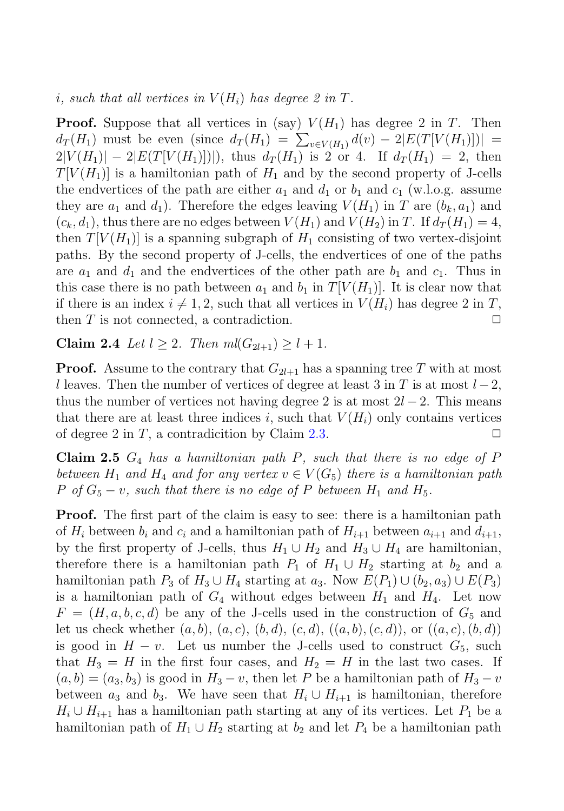i, such that all vertices in  $V(H_i)$  has degree 2 in T.

**Proof.** Suppose that all vertices in (say)  $V(H_1)$  has degree 2 in T. Then  $d_T(H_1)$  must be even (since  $d_T(H_1) = \sum_{v \in V(H_1)} d(v) - 2|E(T[V(H_1)])| =$  $2|V(H_1)| - 2|E(T[V(H_1)]|)$ , thus  $d_T(H_1)$  is 2 or 4. If  $d_T(H_1) = 2$ , then  $T[V(H_1)]$  is a hamiltonian path of  $H_1$  and by the second property of J-cells the endvertices of the path are either  $a_1$  and  $d_1$  or  $b_1$  and  $c_1$  (w.l.o.g. assume they are  $a_1$  and  $d_1$ ). Therefore the edges leaving  $V(H_1)$  in T are  $(b_k, a_1)$  and  $(c_k, d_1)$ , thus there are no edges between  $V(H_1)$  and  $V(H_2)$  in T. If  $d_T(H_1) = 4$ , then  $T[V(H_1)]$  is a spanning subgraph of  $H_1$  consisting of two vertex-disjoint paths. By the second property of J-cells, the endvertices of one of the paths are  $a_1$  and  $d_1$  and the endvertices of the other path are  $b_1$  and  $c_1$ . Thus in this case there is no path between  $a_1$  and  $b_1$  in  $T[V(H_1)]$ . It is clear now that if there is an index  $i \neq 1, 2$ , such that all vertices in  $V(H_i)$  has degree 2 in T, then  $T$  is not connected, a contradiction.  $\Box$ 

**Claim 2.4** Let  $l > 2$ . Then  $m l (G_{2l+1}) > l + 1$ .

**Proof.** Assume to the contrary that  $G_{2l+1}$  has a spanning tree T with at most l leaves. Then the number of vertices of degree at least 3 in T is at most  $l-2$ , thus the number of vertices not having degree 2 is at most  $2l - 2$ . This means that there are at least three indices i, such that  $V(H_i)$  only contains vertices of degree 2 in T, a contradicition by Claim 2.3.  $\Box$ 

**Claim 2.5**  $G_4$  has a hamiltonian path  $P$ , such that there is no edge of  $P$ between  $H_1$  and  $H_4$  and for any vertex  $v \in V(G_5)$  there is a hamiltonian path P of  $G_5 - v$ , such that there is no edge of P between  $H_1$  and  $H_5$ .

**Proof.** The first part of the claim is easy to see: there is a hamiltonian path of  $H_i$  between  $b_i$  and  $c_i$  and a hamiltonian path of  $H_{i+1}$  between  $a_{i+1}$  and  $d_{i+1}$ , by the first property of J-cells, thus  $H_1 \cup H_2$  and  $H_3 \cup H_4$  are hamiltonian, therefore there is a hamiltonian path  $P_1$  of  $H_1 \cup H_2$  starting at  $b_2$  and a hamiltonian path  $P_3$  of  $H_3 \cup H_4$  starting at  $a_3$ . Now  $E(P_1) \cup (b_2, a_3) \cup E(P_3)$ is a hamiltonian path of  $G_4$  without edges between  $H_1$  and  $H_4$ . Let now  $F = (H, a, b, c, d)$  be any of the J-cells used in the construction of  $G_5$  and let us check whether  $(a, b), (a, c), (b, d), (c, d), (a, b), (c, d),$  or  $((a, c), (b, d))$ is good in  $H - v$ . Let us number the J-cells used to construct  $G_5$ , such that  $H_3 = H$  in the first four cases, and  $H_2 = H$  in the last two cases. If  $(a, b) = (a_3, b_3)$  is good in  $H_3 - v$ , then let P be a hamiltonian path of  $H_3 - v$ between  $a_3$  and  $b_3$ . We have seen that  $H_i \cup H_{i+1}$  is hamiltonian, therefore  $H_i \cup H_{i+1}$  has a hamiltonian path starting at any of its vertices. Let  $P_1$  be a hamiltonian path of  $H_1 \cup H_2$  starting at  $b_2$  and let  $P_4$  be a hamiltonian path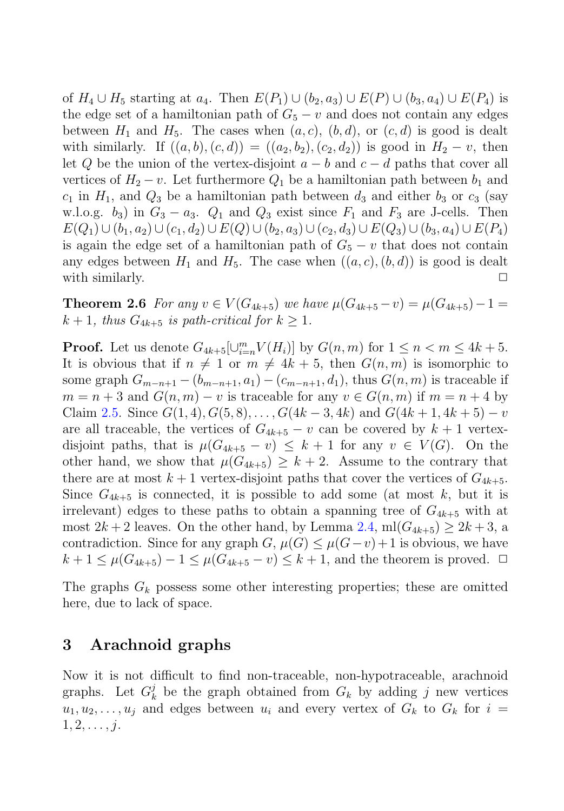of  $H_4 \cup H_5$  starting at  $a_4$ . Then  $E(P_1) \cup (b_2, a_3) \cup E(P) \cup (b_3, a_4) \cup E(P_4)$  is the edge set of a hamiltonian path of  $G_5 - v$  and does not contain any edges between  $H_1$  and  $H_5$ . The cases when  $(a, c)$ ,  $(b, d)$ , or  $(c, d)$  is good is dealt with similarly. If  $((a, b), (c, d)) = ((a_2, b_2), (c_2, d_2))$  is good in  $H_2 - v$ , then let Q be the union of the vertex-disjoint  $a - b$  and  $c - d$  paths that cover all vertices of  $H_2 - v$ . Let furthermore  $Q_1$  be a hamiltonian path between  $b_1$  and  $c_1$  in  $H_1$ , and  $Q_3$  be a hamiltonian path between  $d_3$  and either  $b_3$  or  $c_3$  (say w.l.o.g.  $b_3$ ) in  $G_3 - a_3$ .  $Q_1$  and  $Q_3$  exist since  $F_1$  and  $F_3$  are J-cells. Then  $E(Q_1) \cup (b_1, a_2) \cup (c_1, d_2) \cup E(Q) \cup (b_2, a_3) \cup (c_2, d_3) \cup E(Q_3) \cup (b_3, a_4) \cup E(P_4)$ is again the edge set of a hamiltonian path of  $G_5 - v$  that does not contain any edges between  $H_1$  and  $H_5$ . The case when  $((a, c), (b, d))$  is good is dealt with similarly.  $\Box$ 

**Theorem 2.6** For any  $v \in V(G_{4k+5})$  we have  $\mu(G_{4k+5} - v) = \mu(G_{4k+5}) - 1 =$  $k + 1$ , thus  $G_{4k+5}$  is path-critical for  $k \geq 1$ .

**Proof.** Let us denote  $G_{4k+5}[\cup_{i=n}^{m} V(H_i)]$  by  $G(n, m)$  for  $1 \leq n < m \leq 4k + 5$ . It is obvious that if  $n \neq 1$  or  $m \neq 4k + 5$ , then  $G(n, m)$  is isomorphic to some graph  $G_{m-n+1} - (b_{m-n+1}, a_1) - (c_{m-n+1}, d_1)$ , thus  $G(n, m)$  is traceable if  $m = n + 3$  and  $G(n, m) - v$  is traceable for any  $v \in G(n, m)$  if  $m = n + 4$  by Claim 2.5. Since  $G(1,4), G(5,8), \ldots, G(4k-3,4k)$  and  $G(4k+1,4k+5) - v$ are all traceable, the vertices of  $G_{4k+5} - v$  can be covered by  $k+1$  vertexdisjoint paths, that is  $\mu(G_{4k+5} - v) \leq k+1$  for any  $v \in V(G)$ . On the other hand, we show that  $\mu(G_{4k+5}) \geq k+2$ . Assume to the contrary that there are at most  $k+1$  vertex-disjoint paths that cover the vertices of  $G_{4k+5}$ . Since  $G_{4k+5}$  is connected, it is possible to add some (at most k, but it is irrelevant) edges to these paths to obtain a spanning tree of  $G_{4k+5}$  with at most  $2k + 2$  leaves. On the other hand, by Lemma 2.4, ml $(G_{4k+5}) \ge 2k+3$ , a contradiction. Since for any graph  $G, \mu(G) \leq \mu(G - v) + 1$  is obvious, we have  $k + 1 \leq \mu(G_{4k+5}) - 1 \leq \mu(G_{4k+5} - v) \leq k + 1$ , and the theorem is proved.  $\Box$ 

The graphs  $G_k$  possess some other interesting properties; these are omitted here, due to lack of space.

### **3 Arachnoid graphs**

Now it is not difficult to find non-traceable, non-hypotraceable, arachnoid graphs. Let  $G_k^j$  be the graph obtained from  $G_k$  by adding j new vertices  $u_1, u_2, \ldots, u_j$  and edges between  $u_i$  and every vertex of  $G_k$  to  $G_k$  for  $i =$  $1, 2, \ldots, j.$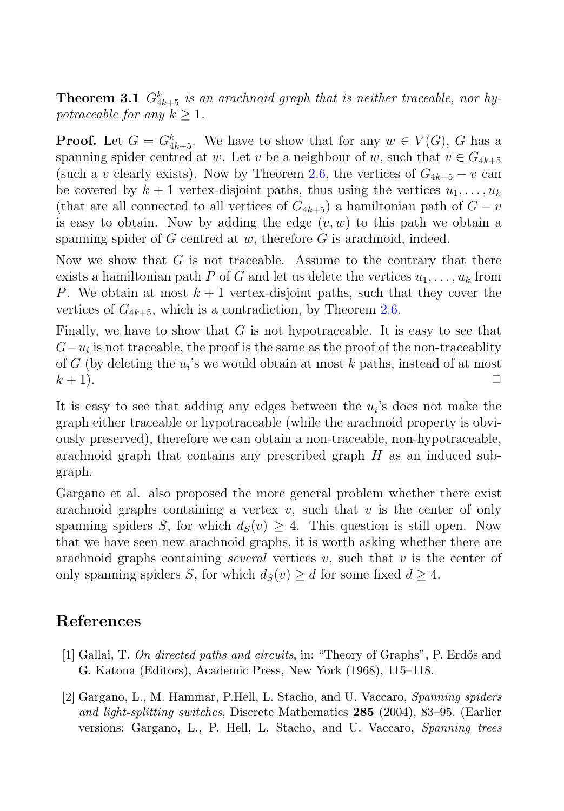**Theorem 3.1**  $G_{4k+5}^k$  is an arachnoid graph that is neither traceable, nor hypotraceable for any  $k > 1$ .

**Proof.** Let  $G = G_{4k+5}^k$ . We have to show that for any  $w \in V(G)$ , G has a spanning spider centred at w. Let v be a neighbour of w, such that  $v \in G_{4k+5}$ (such a v clearly exists). Now by Theorem 2.6, the vertices of  $G_{4k+5} - v$  can be covered by  $k + 1$  vertex-disjoint paths, thus using the vertices  $u_1, \ldots, u_k$ (that are all connected to all vertices of  $G_{4k+5}$ ) a hamiltonian path of  $G - v$ is easy to obtain. Now by adding the edge  $(v, w)$  to this path we obtain a spanning spider of  $G$  centred at  $w$ , therefore  $G$  is arachnoid, indeed.

Now we show that  $G$  is not traceable. Assume to the contrary that there exists a hamiltonian path P of G and let us delete the vertices  $u_1, \ldots, u_k$  from P. We obtain at most  $k+1$  vertex-disjoint paths, such that they cover the vertices of  $G_{4k+5}$ , which is a contradiction, by Theorem 2.6.

Finally, we have to show that  $G$  is not hypotraceable. It is easy to see that  $G-u_i$  is not traceable, the proof is the same as the proof of the non-traceablity of G (by deleting the  $u_i$ 's we would obtain at most k paths, instead of at most  $k + 1$ ).

It is easy to see that adding any edges between the  $u_i$ 's does not make the graph either traceable or hypotraceable (while the arachnoid property is obviously preserved), therefore we can obtain a non-traceable, non-hypotraceable, arachnoid graph that contains any prescribed graph  $H$  as an induced subgraph.

Gargano et al. also proposed the more general problem whether there exist arachnoid graphs containing a vertex  $v$ , such that  $v$  is the center of only spanning spiders S, for which  $d_S(v) \geq 4$ . This question is still open. Now that we have seen new arachnoid graphs, it is worth asking whether there are arachnoid graphs containing several vertices  $v$ , such that  $v$  is the center of only spanning spiders S, for which  $d_S(v) \geq d$  for some fixed  $d \geq 4$ .

## **References**

- [1] Gallai, T. *On directed paths and circuits*, in: "Theory of Graphs", P. Erd˝os and G. Katona (Editors), Academic Press, New York (1968), 115–118.
- [2] Gargano, L., M. Hammar, P.Hell, L. Stacho, and U. Vaccaro, *Spanning spiders and light-splitting switches*, Discrete Mathematics **285** (2004), 83–95. (Earlier versions: Gargano, L., P. Hell, L. Stacho, and U. Vaccaro, *Spanning trees*